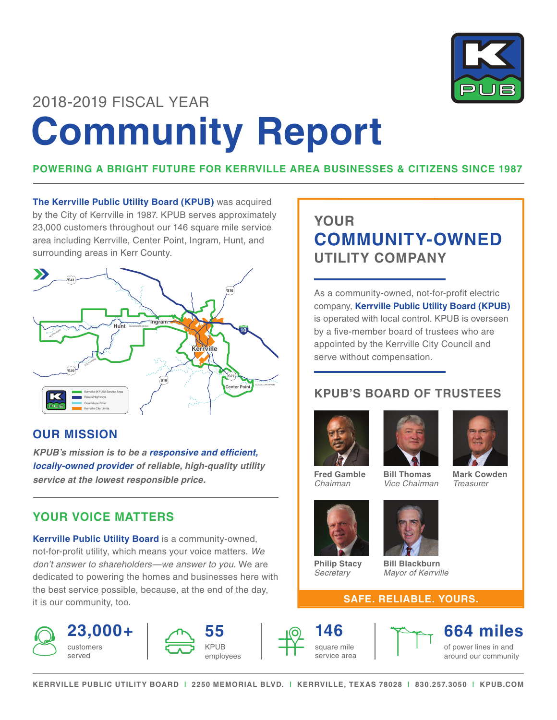

# 2018-2019 FISCAL YEAR **Community Report**

#### **POWERING A BRIGHT FUTURE FOR KERRVILLE AREA BUSINESSES & CITIZENS SINCE 1987**

**The Kerrville Public Utility Board (KPUB)** was acquired by the City of Kerrville in 1987. KPUB serves approximately 23,000 customers throughout our 146 square mile service area including Kerrville, Center Point, Ingram, Hunt, and surrounding areas in Kerr County.



#### **OUR MISSION**

*KPUB's mission is to be a responsive and efficient, locally-owned provider of reliable, high-quality utility service at the lowest responsible price.*

#### **YOUR VOICE MATTERS**

**Kerrville Public Utility Board** is a community-owned, not-for-profit utility, which means your voice matters. *We don't answer to shareholders—we answer to you.* We are dedicated to powering the homes and businesses here with the best service possible, because, at the end of the day, it is our community, too.







**146** square mile service area



#### **SAFE. RELIABLE. YOURS.**



**664 miles** of power lines in and around our community

# **YOUR COMMUNITY-OWNED UTILITY COMPANY**

As a community-owned, not-for-profit electric company, **Kerrville Public Utility Board (KPUB)** is operated with local control. KPUB is overseen by a five-member board of trustees who are appointed by the Kerrville City Council and serve without compensation.

### **KPUB'S BOARD OF TRUSTEES**







**Fred Gamble** *Chairman*

**Philip Stacy** *Secretary*

**Bill Thomas** *Vice Chairman*

**Mark Cowden** *Treasurer*